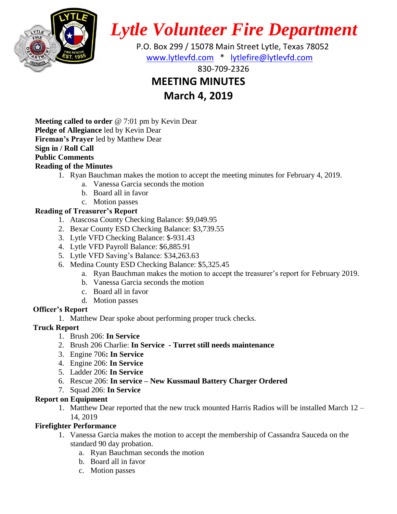

*Lytle Volunteer Fire Department*

 P.O. Box 299 / 15078 Main Street Lytle, Texas 78052 [www.lytlevfd.com](http://www.lytlevfd.com/) \* [lytlefire@lytlevfd.com](mailto:lytlefire@lytlevfd.com)

830-709-2326

# **MEETING MINUTES**

**March 4, 2019**

**Meeting called to order** @ 7:01 pm by Kevin Dear **Pledge of Allegiance** led by Kevin Dear **Fireman's Prayer** led by Matthew Dear **Sign in / Roll Call Public Comments**

## **Reading of the Minutes**

- 1. Ryan Bauchman makes the motion to accept the meeting minutes for February 4, 2019.
	- a. Vanessa Garcia seconds the motion
	- b. Board all in favor
	- c. Motion passes

## **Reading of Treasurer's Report**

- 1. Atascosa County Checking Balance: \$9,049.95
- 2. Bexar County ESD Checking Balance: \$3,739.55
- 3. Lytle VFD Checking Balance: \$-931.43
- 4. Lytle VFD Payroll Balance: \$6,885.91
- 5. Lytle VFD Saving's Balance: \$34,263.63
- 6. Medina County ESD Checking Balance: \$5,325.45
	- a. Ryan Bauchman makes the motion to accept the treasurer's report for February 2019.
	- b. Vanessa Garcia seconds the motion
	- c. Board all in favor
	- d. Motion passes

## **Officer's Report**

1. Matthew Dear spoke about performing proper truck checks.

## **Truck Report**

- 1. Brush 206: **In Service**
- 2. Brush 206 Charlie: **In Service - Turret still needs maintenance**
- 3. Engine 706**: In Service**
- 4. Engine 206: **In Service**
- 5. Ladder 206: **In Service**
- 6. Rescue 206: **In service – New Kussmaul Battery Charger Ordered**
- 7. Squad 206: **In Service**

## **Report on Equipment**

1. Matthew Dear reported that the new truck mounted Harris Radios will be installed March 12 – 14, 2019

## **Firefighter Performance**

- 1. Vanessa Garcia makes the motion to accept the membership of Cassandra Sauceda on the standard 90 day probation.
	- a. Ryan Bauchman seconds the motion
	- b. Board all in favor
	- c. Motion passes